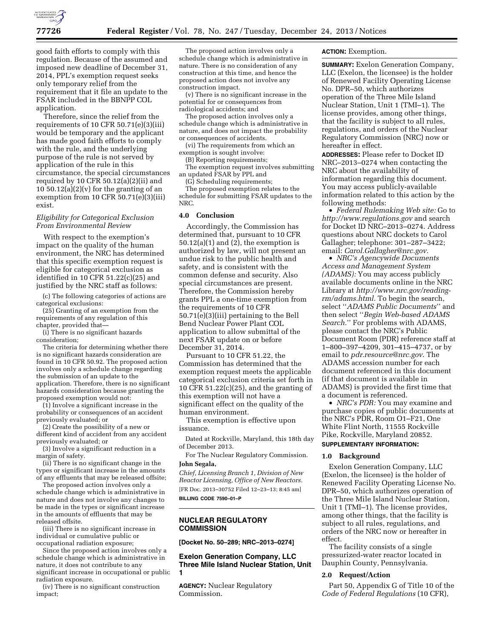

good faith efforts to comply with this regulation. Because of the assumed and imposed new deadline of December 31, 2014, PPL's exemption request seeks only temporary relief from the requirement that it file an update to the FSAR included in the BBNPP COL application.

Therefore, since the relief from the requirements of 10 CFR 50.71(e)(3)(iii) would be temporary and the applicant has made good faith efforts to comply with the rule, and the underlying purpose of the rule is not served by application of the rule in this circumstance, the special circumstances required by 10 CFR  $50.12(a)(2)(ii)$  and 10 50.12(a)(2)(v) for the granting of an exemption from 10 CFR 50.71(e)(3)(iii) exist.

## *Eligibility for Categorical Exclusion From Environmental Review*

With respect to the exemption's impact on the quality of the human environment, the NRC has determined that this specific exemption request is eligible for categorical exclusion as identified in 10 CFR 51.22(c)(25) and justified by the NRC staff as follows:

(c) The following categories of actions are categorical exclusions:

(25) Granting of an exemption from the requirements of any regulation of this chapter, provided that—

(i) There is no significant hazards consideration;

The criteria for determining whether there is no significant hazards consideration are found in 10 CFR 50.92. The proposed action involves only a schedule change regarding the submission of an update to the application. Therefore, there is no significant hazards consideration because granting the proposed exemption would not:

(1) Involve a significant increase in the probability or consequences of an accident previously evaluated; or

(2) Create the possibility of a new or different kind of accident from any accident previously evaluated; or

(3) Involve a significant reduction in a margin of safety.

(ii) There is no significant change in the types or significant increase in the amounts of any effluents that may be released offsite;

The proposed action involves only a schedule change which is administrative in nature and does not involve any changes to be made in the types or significant increase in the amounts of effluents that may be released offsite.

(iii) There is no significant increase in individual or cumulative public or occupational radiation exposure;

Since the proposed action involves only a schedule change which is administrative in nature, it does not contribute to any significant increase in occupational or public radiation exposure.

(iv) There is no significant construction impact;

The proposed action involves only a schedule change which is administrative in nature. There is no consideration of any construction at this time, and hence the proposed action does not involve any construction impact.

(v) There is no significant increase in the potential for or consequences from radiological accidents; and

The proposed action involves only a schedule change which is administrative in nature, and does not impact the probability or consequences of accidents.

(vi) The requirements from which an exemption is sought involve:

(B) Reporting requirements;

The exemption request involves submitting an updated FSAR by PPL and

(G) Scheduling requirements; The proposed exemption relates to the

schedule for submitting FSAR updates to the NRC.

# **4.0 Conclusion**

Accordingly, the Commission has determined that, pursuant to 10 CFR  $50.12(a)(1)$  and  $(2)$ , the exemption is authorized by law, will not present an undue risk to the public health and safety, and is consistent with the common defense and security. Also special circumstances are present. Therefore, the Commission hereby grants PPL a one-time exemption from the requirements of 10 CFR 50.71(e)(3)(iii) pertaining to the Bell Bend Nuclear Power Plant COL application to allow submittal of the next FSAR update on or before December 31, 2014.

Pursuant to 10 CFR 51.22, the Commission has determined that the exemption request meets the applicable categorical exclusion criteria set forth in 10 CFR 51.22(c)(25), and the granting of this exemption will not have a significant effect on the quality of the human environment.

This exemption is effective upon issuance.

Dated at Rockville, Maryland, this 18th day of December 2013.

For The Nuclear Regulatory Commission. **John Segala,** 

*Chief, Licensing Branch 1, Division of New Reactor Licensing, Office of New Reactors.*  [FR Doc. 2013–30752 Filed 12–23–13; 8:45 am] **BILLING CODE 7590–01–P** 

# **NUCLEAR REGULATORY COMMISSION**

**[Docket No. 50–289; NRC–2013–0274]** 

**Exelon Generation Company, LLC Three Mile Island Nuclear Station, Unit 1** 

**AGENCY:** Nuclear Regulatory Commission.

### **ACTION:** Exemption.

**SUMMARY:** Exelon Generation Company, LLC (Exelon, the licensee) is the holder of Renewed Facility Operating License No. DPR–50, which authorizes operation of the Three Mile Island Nuclear Station, Unit 1 (TMI–1). The license provides, among other things, that the facility is subject to all rules, regulations, and orders of the Nuclear Regulatory Commission (NRC) now or hereafter in effect.

**ADDRESSES:** Please refer to Docket ID NRC–2013–0274 when contacting the NRC about the availability of information regarding this document. You may access publicly-available information related to this action by the following methods:

• *Federal Rulemaking Web site:* Go to *<http://www.regulations.gov>* and search for Docket ID NRC–2013–0274. Address questions about NRC dockets to Carol Gallagher; telephone: 301–287–3422; email: *[Carol.Gallagher@nrc.gov.](mailto:Carol.Gallagher@nrc.gov)* 

• *NRC's Agencywide Documents Access and Management System (ADAMS):* You may access publicly available documents online in the NRC Library at *[http://www.nrc.gov/reading](http://www.nrc.gov/reading-rm/adams.html)[rm/adams.html.](http://www.nrc.gov/reading-rm/adams.html)* To begin the search, select ''*ADAMS Public Documents*'' and then select ''*Begin Web-based ADAMS Search.*'' For problems with ADAMS, please contact the NRC's Public Document Room (PDR) reference staff at 1–800–397–4209, 301–415–4737, or by email to *[pdr.resource@nrc.gov](mailto:pdr.resource@nrc.gov)*. The ADAMS accession number for each document referenced in this document (if that document is available in ADAMS) is provided the first time that a document is referenced.

• *NRC's PDR:* You may examine and purchase copies of public documents at the NRC's PDR, Room O1–F21, One White Flint North, 11555 Rockville Pike, Rockville, Maryland 20852. **SUPPLEMENTARY INFORMATION:** 

### **1.0 Background**

Exelon Generation Company, LLC (Exelon, the licensee) is the holder of Renewed Facility Operating License No. DPR–50, which authorizes operation of the Three Mile Island Nuclear Station, Unit 1 (TMI–1). The license provides, among other things, that the facility is subject to all rules, regulations, and orders of the NRC now or hereafter in effect.

The facility consists of a single pressurized-water reactor located in Dauphin County, Pennsylvania.

## **2.0 Request/Action**

Part 50, Appendix G of Title 10 of the *Code of Federal Regulations* (10 CFR),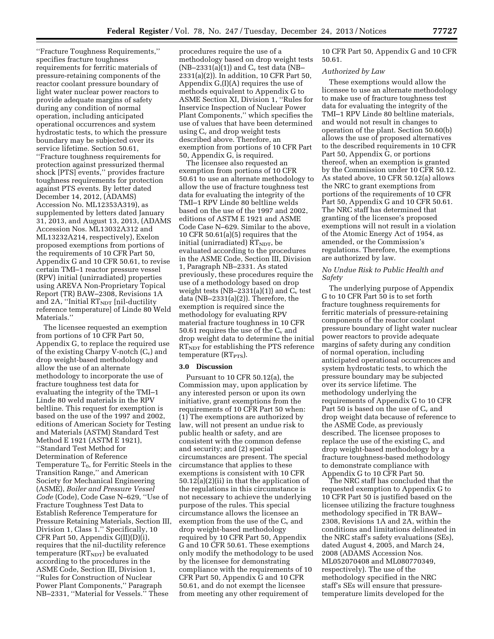''Fracture Toughness Requirements,'' specifies fracture toughness requirements for ferritic materials of pressure-retaining components of the reactor coolant pressure boundary of light water nuclear power reactors to provide adequate margins of safety during any condition of normal operation, including anticipated operational occurrences and system hydrostatic tests, to which the pressure boundary may be subjected over its service lifetime. Section 50.61, ''Fracture toughness requirements for protection against pressurized thermal shock [PTS] events,'' provides fracture toughness requirements for protection against PTS events. By letter dated December 14, 2012, (ADAMS) Accession No. ML12353A319), as supplemented by letters dated January 31, 2013, and August 13, 2013, (ADAMS Accession Nos. ML13032A312 and ML13232A214, respectively), Exelon proposed exemptions from portions of the requirements of 10 CFR Part 50, Appendix G and 10 CFR 50.61, to revise certain TMI–1 reactor pressure vessel (RPV) initial (unirradiated) properties using AREVA Non-Proprietary Topical Report (TR) BAW–2308, Revisions 1A and 2A, "Initial  $RT<sub>NDT</sub>$  [nil-ductility reference temperature] of Linde 80 Weld Materials.''

The licensee requested an exemption from portions of 10 CFR Part 50, Appendix G, to replace the required use of the existing Charpy V-notch  $(C_v)$  and drop weight-based methodology and allow the use of an alternate methodology to incorporate the use of fracture toughness test data for evaluating the integrity of the TMI–1 Linde 80 weld materials in the RPV beltline. This request for exemption is based on the use of the 1997 and 2002, editions of American Society for Testing and Materials (ASTM) Standard Test Method E 1921 (ASTM E 1921), ''Standard Test Method for Determination of Reference Temperature  $T_0$ , for Ferritic Steels in the Transition Range,'' and American Society for Mechanical Engineering (ASME), *Boiler and Pressure Vessel Code* (Code), Code Case N–629, ''Use of Fracture Toughness Test Data to Establish Reference Temperature for Pressure Retaining Materials, Section III, Division 1, Class 1.'' Specifically, 10 CFR Part 50, Appendix G(II)(D)(i), requires that the nil-ductility reference temperature  $(RT<sub>NDT</sub>)$  be evaluated according to the procedures in the ASME Code, Section III, Division 1, ''Rules for Construction of Nuclear Power Plant Components,'' Paragraph NB–2331, ''Material for Vessels.'' These

procedures require the use of a methodology based on drop weight tests  $(NB-2331(a)(1))$  and  $C_v$  test data (NB-2331(a)(2)). In addition, 10 CFR Part 50, Appendix G,(I)(A) requires the use of methods equivalent to Appendix G to ASME Section XI, Division 1, ''Rules for Inservice Inspection of Nuclear Power Plant Components,'' which specifies the use of values that have been determined using Cv and drop weight tests described above. Therefore, an exemption from portions of 10 CFR Part 50, Appendix G, is required.

The licensee also requested an exemption from portions of 10 CFR 50.61 to use an alternate methodology to allow the use of fracture toughness test data for evaluating the integrity of the TMI–1 RPV Linde 80 beltline welds based on the use of the 1997 and 2002, editions of ASTM E 1921 and ASME Code Case N–629. Similar to the above, 10 CFR 50.61(a)(5) requires that the initial (unirradiated) RTNDT, be evaluated according to the procedures in the ASME Code, Section III, Division 1, Paragraph NB–2331. As stated previously, these procedures require the use of a methodology based on drop weight tests (NB-2331(a)(1)) and  $C_v$  test data (NB–2331(a)(2)). Therefore, the exemption is required since the methodology for evaluating RPV material fracture toughness in 10 CFR 50.61 requires the use of the  $C_v$  and drop weight data to determine the initial  $RT<sub>NDT</sub>$  for establishing the PTS reference  $temperature (RT<sub>PTS</sub>).$ 

## **3.0 Discussion**

Pursuant to 10 CFR 50.12(a), the Commission may, upon application by any interested person or upon its own initiative, grant exemptions from the requirements of 10 CFR Part 50 when: (1) The exemptions are authorized by law, will not present an undue risk to public health or safety, and are consistent with the common defense and security; and (2) special circumstances are present. The special circumstance that applies to these exemptions is consistent with 10 CFR 50.12(a)(2)(ii) in that the application of the regulations in this circumstance is not necessary to achieve the underlying purpose of the rules. This special circumstance allows the licensee an exemption from the use of the  $C_v$  and drop weight-based methodology required by 10 CFR Part 50, Appendix G and 10 CFR 50.61. These exemptions only modify the methodology to be used by the licensee for demonstrating compliance with the requirements of 10 CFR Part 50, Appendix G and 10 CFR 50.61, and do not exempt the licensee from meeting any other requirement of

10 CFR Part 50, Appendix G and 10 CFR 50.61.

#### *Authorized by Law*

These exemptions would allow the licensee to use an alternate methodology to make use of fracture toughness test data for evaluating the integrity of the TMI–1 RPV Linde 80 beltline materials, and would not result in changes to operation of the plant. Section 50.60(b) allows the use of proposed alternatives to the described requirements in 10 CFR Part 50, Appendix G, or portions thereof, when an exemption is granted by the Commission under 10 CFR 50.12. As stated above, 10 CFR 50.12(a) allows the NRC to grant exemptions from portions of the requirements of 10 CFR Part 50, Appendix G and 10 CFR 50.61. The NRC staff has determined that granting of the licensee's proposed exemptions will not result in a violation of the Atomic Energy Act of 1954, as amended, or the Commission's regulations. Therefore, the exemptions are authorized by law.

# *No Undue Risk to Public Health and Safety*

The underlying purpose of Appendix G to 10 CFR Part 50 is to set forth fracture toughness requirements for ferritic materials of pressure-retaining components of the reactor coolant pressure boundary of light water nuclear power reactors to provide adequate margins of safety during any condition of normal operation, including anticipated operational occurrences and system hydrostatic tests, to which the pressure boundary may be subjected over its service lifetime. The methodology underlying the requirements of Appendix G to 10 CFR Part 50 is based on the use of  $C_v$  and drop weight data because of reference to the ASME Code, as previously described. The licensee proposes to replace the use of the existing  $C_v$  and drop weight-based methodology by a fracture toughness-based methodology to demonstrate compliance with Appendix G to 10 CFR Part 50.

The NRC staff has concluded that the requested exemption to Appendix G to 10 CFR Part 50 is justified based on the licensee utilizing the fracture toughness methodology specified in TR BAW– 2308, Revisions 1A and 2A, within the conditions and limitations delineated in the NRC staff's safety evaluations (SEs), dated August 4, 2005, and March 24, 2008 (ADAMS Accession Nos. ML052070408 and ML080770349, respectively). The use of the methodology specified in the NRC staff's SEs will ensure that pressuretemperature limits developed for the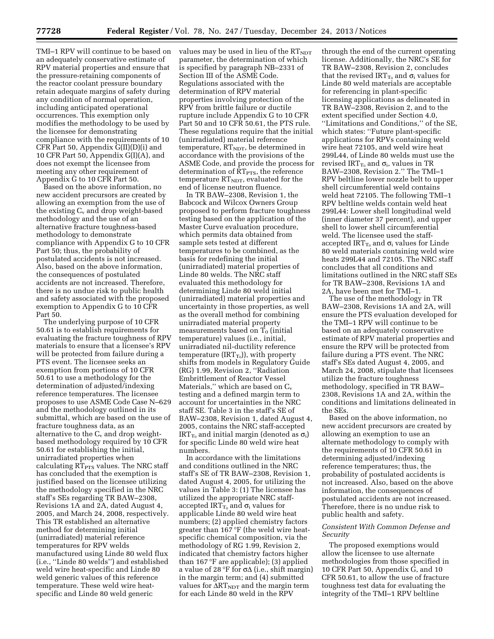TMI–1 RPV will continue to be based on an adequately conservative estimate of RPV material properties and ensure that the pressure-retaining components of the reactor coolant pressure boundary retain adequate margins of safety during any condition of normal operation, including anticipated operational occurrences. This exemption only modifies the methodology to be used by the licensee for demonstrating compliance with the requirements of 10 CFR Part 50, Appendix G(II)(D)(i) and 10 CFR Part 50, Appendix G(I)(A), and does not exempt the licensee from meeting any other requirement of Appendix G to 10 CFR Part 50.

Based on the above information, no new accident precursors are created by allowing an exemption from the use of the existing  $C_v$  and drop weight-based methodology and the use of an alternative fracture toughness-based methodology to demonstrate compliance with Appendix G to 10 CFR Part 50; thus, the probability of postulated accidents is not increased. Also, based on the above information, the consequences of postulated accidents are not increased. Therefore, there is no undue risk to public health and safety associated with the proposed exemption to Appendix G to 10 CFR Part 50.

The underlying purpose of 10 CFR 50.61 is to establish requirements for evaluating the fracture toughness of RPV materials to ensure that a licensee's RPV will be protected from failure during a PTS event. The licensee seeks an exemption from portions of 10 CFR 50.61 to use a methodology for the determination of adjusted/indexing reference temperatures. The licensee proposes to use ASME Code Case N–629 and the methodology outlined in its submittal, which are based on the use of fracture toughness data, as an alternative to the  $C_v$  and drop weightbased methodology required by 10 CFR 50.61 for establishing the initial, unirradiated properties when calculating  $RT<sub>PTS</sub>$  values. The NRC staff has concluded that the exemption is justified based on the licensee utilizing the methodology specified in the NRC staff's SEs regarding TR BAW–2308, Revisions 1A and 2A, dated August 4, 2005, and March 24, 2008, respectively. This TR established an alternative method for determining initial (unirradiated) material reference temperatures for RPV welds manufactured using Linde 80 weld flux (i.e., ''Linde 80 welds'') and established weld wire heat-specific and Linde 80 weld generic values of this reference temperature. These weld wire heatspecific and Linde 80 weld generic

values may be used in lieu of the  $RT<sub>NDT</sub>$ parameter, the determination of which is specified by paragraph NB–2331 of Section III of the ASME Code. Regulations associated with the determination of RPV material properties involving protection of the RPV from brittle failure or ductile rupture include Appendix G to 10 CFR Part 50 and 10 CFR 50.61, the PTS rule. These regulations require that the initial (unirradiated) material reference temperature,  $RT<sub>NDT</sub>$ , be determined in accordance with the provisions of the ASME Code, and provide the process for determination of RT<sub>PTS</sub>, the reference temperature  $RT<sub>NDT</sub>$ , evaluated for the end of license neutron fluence.

In TR BAW–2308, Revision 1, the Babcock and Wilcox Owners Group proposed to perform fracture toughness testing based on the application of the Master Curve evaluation procedure, which permits data obtained from sample sets tested at different temperatures to be combined, as the basis for redefining the initial (unirradiated) material properties of Linde 80 welds. The NRC staff evaluated this methodology for determining Linde 80 weld initial (unirradiated) material properties and uncertainty in those properties, as well as the overall method for combining unirradiated material property measurements based on  $T_0$  (initial temperature) values (i.e., initial, unirradiated nil-ductility reference temperature (IRT $_{T_0}$ )), with property shifts from models in Regulatory Guide (RG) 1.99, Revision 2, ''Radiation Embrittlement of Reactor Vessel Materials," which are based on  $C_v$ testing and a defined margin term to account for uncertainties in the NRC staff SE. Table 3 in the staff's SE of BAW–2308, Revision 1, dated August 4, 2005, contains the NRC staff-accepted  $IRT_{T_0}$  and initial margin (denoted as  $\sigma_i$ ) for specific Linde 80 weld wire heat numbers.

In accordance with the limitations and conditions outlined in the NRC staff's SE of TR BAW–2308, Revision 1, dated August 4, 2005, for utilizing the values in Table 3: (1) The licensee has utilized the appropriate NRC staffaccepted IRT $_{\rm T0}$  and  $\sigma_{\rm i}$  values for applicable Linde 80 weld wire heat numbers; (2) applied chemistry factors greater than 167 °F (the weld wire heatspecific chemical composition, via the methodology of RG 1.99, Revision 2, indicated that chemistry factors higher than 167 °F are applicable); (3) applied a value of 28 °F for  $\sigma\Delta$  (i.e., shift margin) in the margin term; and (4) submitted values for  $\Delta RT_{\text{NDT}}$  and the margin term for each Linde 80 weld in the RPV

through the end of the current operating license. Additionally, the NRC's SE for TR BAW–2308, Revision 2, concludes that the revised  $IRT_{T_0}$  and  $\sigma_i$  values for Linde 80 weld materials are acceptable for referencing in plant-specific licensing applications as delineated in TR BAW–2308, Revision 2, and to the extent specified under Section 4.0, ''Limitations and Conditions,'' of the SE, which states: ''Future plant-specific applications for RPVs containing weld wire heat 72105, and weld wire heat 299L44, of Linde 80 welds must use the revised IRT<sub>T<sub>0</sub></sub> and  $\sigma_i$ , values in TR BAW–2308, Revision 2.'' The TMI–1 RPV beltline lower nozzle belt to upper shell circumferential weld contains weld heat 72105. The following TMI–1 RPV beltline welds contain weld heat 299L44: Lower shell longitudinal weld (inner diameter 37 percent), and upper shell to lower shell circumferential weld. The licensee used the staffaccepted  $IRT_{T_0}$  and  $\sigma_i$  values for Linde 80 weld materials containing weld wire heats 299L44 and 72105. The NRC staff concludes that all conditions and limitations outlined in the NRC staff SEs for TR BAW–2308, Revisions 1A and 2A, have been met for TMI–1.

The use of the methodology in TR BAW–2308, Revisions 1A and 2A, will ensure the PTS evaluation developed for the TMI–1 RPV will continue to be based on an adequately conservative estimate of RPV material properties and ensure the RPV will be protected from failure during a PTS event. The NRC staff's SEs dated August 4, 2005, and March 24, 2008, stipulate that licensees utilize the fracture toughness methodology, specified in TR BAW– 2308, Revisions 1A and 2A, within the conditions and limitations delineated in the SEs.

Based on the above information, no new accident precursors are created by allowing an exemption to use an alternate methodology to comply with the requirements of 10 CFR 50.61 in determining adjusted/indexing reference temperatures; thus, the probability of postulated accidents is not increased. Also, based on the above information, the consequences of postulated accidents are not increased. Therefore, there is no undue risk to public health and safety.

# *Consistent With Common Defense and Security*

The proposed exemptions would allow the licensee to use alternate methodologies from those specified in 10 CFR Part 50, Appendix G, and 10 CFR 50.61, to allow the use of fracture toughness test data for evaluating the integrity of the TMI–1 RPV beltline